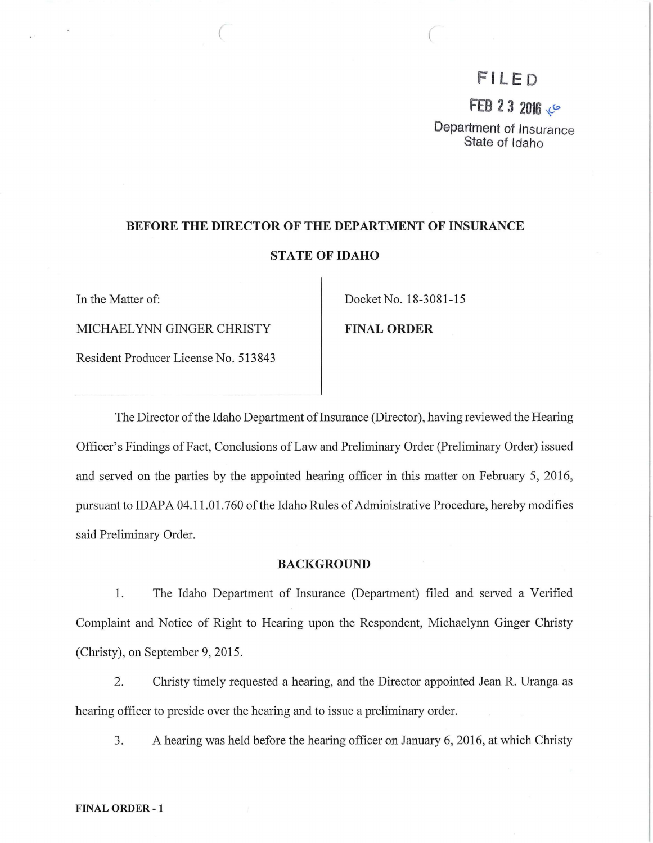## **Ff LED**

**FEB 2 3 2016**  $6$ 

Department of Insurance State of Idaho

# BEFORE THE DIRECTOR OF THE DEPARTMENT OF INSURANCE STATE OF IDAHO

 $($ 

MICHAEL YNN GINGER CHRISTY FINAL ORDER

Resident Producer License No. 513843

In the Matter of: Docket No. 18-3081-15

The Director of the Idaho Department of Insurance (Director), having reviewed the Hearing Officer's Findings of Fact, Conclusions of Law and Preliminary Order (Preliminary Order) issued and served on the parties by the appointed hearing officer in this matter on February 5, 2016, pursuant to IDAPA 04.11.01.760 of the Idaho Rules of Administrative Procedure, hereby modifies said Preliminary Order.

## BACKGROUND

1. The Idaho Department of Insurance (Department) filed and served a Verified Complaint and Notice of Right to Hearing upon the Respondent, Michaelynn Ginger Christy (Christy), on September 9, 2015.

2. Christy timely requested a hearing, and the Director appointed Jean R. Uranga as hearing officer to preside over the hearing and to issue a preliminary order.

3. A hearing was held before the hearing officer on January 6, 2016, at which Christy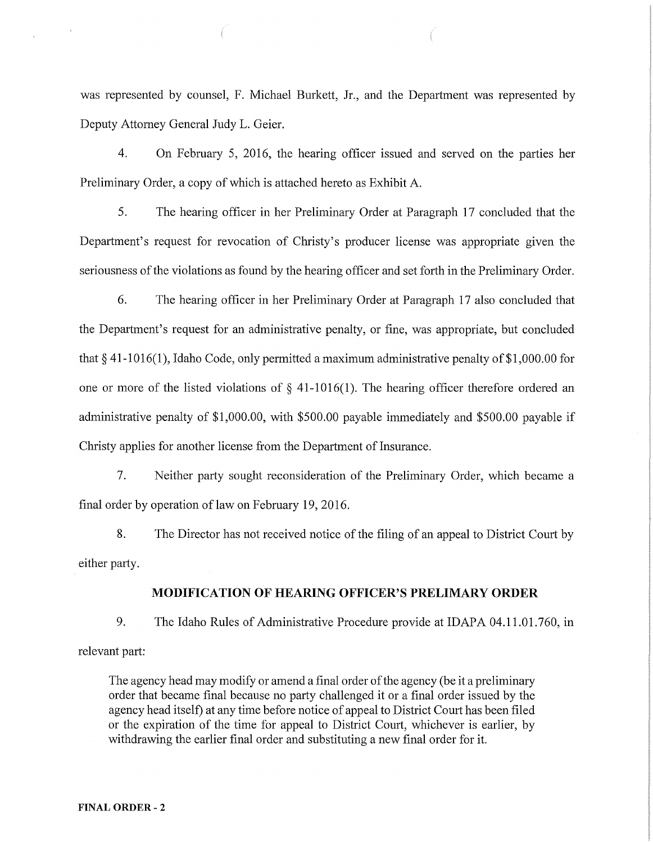was represented by counsel, F. Michael Burkett, Jr., and the Department was represented by Deputy Attorney General Judy L. Geier.

4. On February 5, 2016, the hearing officer issued and served on the parties her Preliminary Order, a copy of which is attached hereto as Exhibit A.

5. The hearing officer in her Preliminary Order at Paragraph 17 concluded that the Department's request for revocation of Christy's producer license was appropriate given the seriousness of the violations as found by the hearing officer and set forth in the Preliminary Order.

6. The hearing officer in her Preliminary Order at Paragraph 17 also concluded that the Department's request for an administrative penalty, or fine, was appropriate, but concluded that§ 41-1016(1), Idaho Code, only permitted a maximum administrative penalty of \$1,000.00 for one or more of the listed violations of  $\S$  41-1016(1). The hearing officer therefore ordered an administrative penalty of \$1,000.00, with \$500.00 payable immediately and \$500.00 payable if Christy applies for another license from the Department of Insurance.

7. Neither party sought reconsideration of the Preliminary Order, which became a final order by operation of law on February 19, 2016.

8. The Director has not received notice of the filing of an appeal to District Court by either party.

## **MODIFICATION OF HEARING OFFICER'S PRELIMARY ORDER**

9. The Idaho Rules of Administrative Procedure provide at IDAPA 04.11.01.760, in relevant part:

The agency head may modify or amend a final order of the agency (be it a preliminary order that became final because no party challenged it or a final order issued by the agency head itself) at any time before notice of appeal to District Court has been filed or the expiration of the time for appeal to District Court, whichever is earlier, by withdrawing the earlier final order and substituting a new final order for it.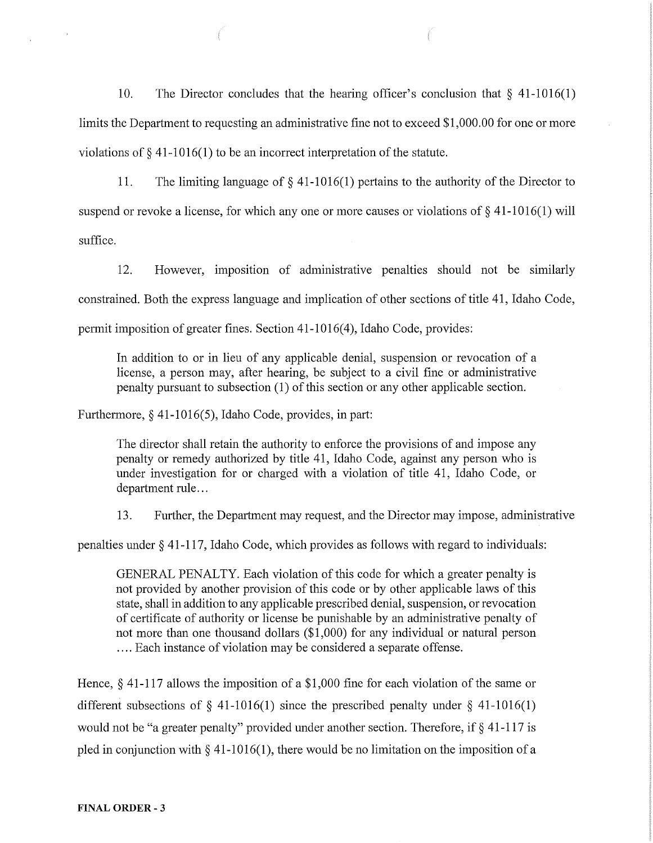10. The Director concludes that the hearing officer's conclusion that § 41-1016(1) limits the Department to requesting an administrative fine not to exceed \$1,000.00 for one or more violations of§ 41-1016(1) to be an incorrect interpretation of the statute.

11. The limiting language of § 41-1016(1) pertains to the authority of the Director to suspend or revoke a license, for which any one or more causes or violations of § 41-1016(1) will suffice.

12. However, imposition of administrative penalties should not be similarly constrained. Both the express language and implication of other sections of title 41, Idaho Code, permit imposition of greater fines. Section 41-1016(4), Idaho Code, provides:

In addition to or in lieu of any applicable denial, suspension or revocation of a license, a person may, after hearing, be subject to a civil fine or administrative penalty pursuant to subsection (1) of this section or any other applicable section.

Furthermore,§ 41-1016(5), Idaho Code, provides, in part:

The director shall retain the authority to enforce the provisions of and impose any penalty or remedy authorized by title 41, Idaho Code, against any person who is under investigation for or charged with a violation of title 41, Idaho Code, or department rule...

13. Further, the Depatiment may request, and the Director may impose, administrative

penalties under § 41-117, Idaho Code, which provides as follows with regard to individuals:

GENERAL PENALTY. Each violation of this code for which a greater penalty is not provided by another provision of this code or by other applicable laws of this state, shall in addition to any applicable prescribed denial, suspension, or revocation of certificate of authority or license be punishable by an administrative penalty of not more than one thousand dollars (\$1,000) for any individual or natural person .... Each instance of violation may be considered a separate offense.

Hence,  $\S$  41-117 allows the imposition of a \$1,000 fine for each violation of the same or different subsections of  $\S$  41-1016(1) since the prescribed penalty under  $\S$  41-1016(1) would not be "a greater penalty" provided under another section. Therefore, if § 41-117 is pled in conjunction with  $\S$  41-1016(1), there would be no limitation on the imposition of a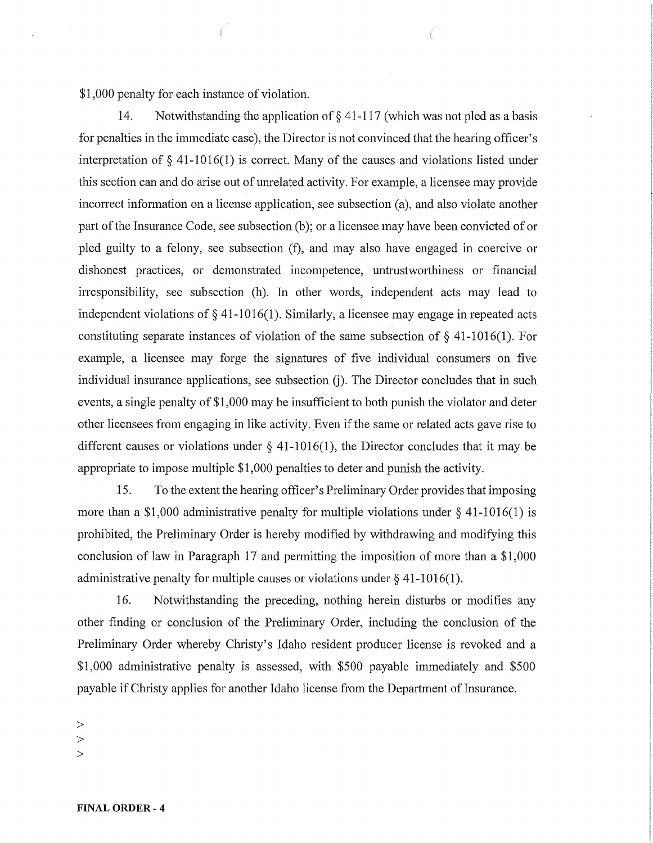\$1,000 penalty for each instance of violation.

14. Notwithstanding the application of  $\S$  41-117 (which was not pled as a basis for penalties in the immediate case), the Director is not convinced that the hearing officer's interpretation of  $\S$  41-1016(1) is correct. Many of the causes and violations listed under this section can and do arise out of unrelated activity. For example, a licensee may provide incorrect information on a license application, see subsection (a), and also violate another part of the Insurance Code, see subsection (b); or a licensee may have been convicted of or pled guilty to a felony, see subsection (f), and may also have engaged in coercive or dishonest practices, or demonstrated incompetence, untrustworthiness or financial irresponsibility, see subsection (h). In other words, independent acts may lead to independent violations of  $\S$  41-1016(1). Similarly, a licensee may engage in repeated acts constituting separate instances of violation of the same subsection of  $\S$  41-1016(1). For example, a licensee may forge the signatures of five individual consumers on five individual insurance applications, see subsection (j). The Director concludes that in such events, a single penalty of \$1,000 may be insufficient to both punish the violator and deter other licensees from engaging in like activity. Even if the same or related acts gave rise to different causes or violations under  $\S$  41-1016(1), the Director concludes that it may be appropriate to impose multiple \$1,000 penalties to deter and punish the activity.

15. To the extent the hearing officer's Preliminary Order provides that imposing more than a \$1,000 administrative penalty for multiple violations under  $\S$  41-1016(1) is prohibited, the Preliminary Order is hereby modified by withdrawing and modifying this conclusion of law in Paragraph 17 and permitting the imposition of more than a \$1,000 administrative penalty for multiple causes or violations under  $\S$  41-1016(1).

16. Notwithstanding the preceding, nothing herein disturbs or modifies any other finding or conclusion of the Preliminary Order, including the conclusion of the Preliminary Order whereby Christy's Idaho resident producer license is revoked and a \$1,000 administrative penalty is assessed, with \$500 payable immediately and \$500 payable if Christy applies for another Idaho license from the Department of Insurance.

>

 $>$ 

 $\rightarrow$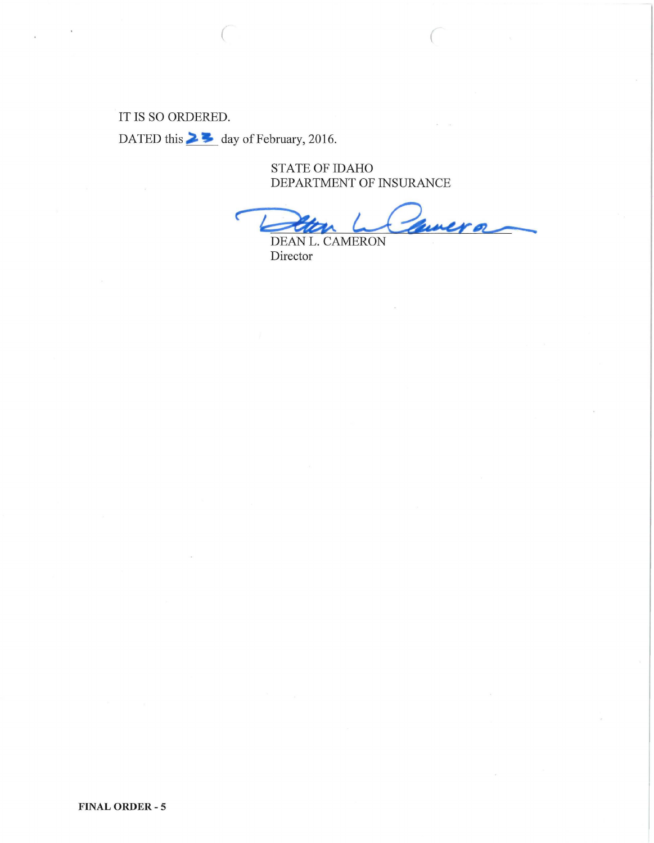## IT IS SO ORDERED.

DATED this **23** day of February, 2016.

STATE OF IDAHO DEPARTMENT OF INSURANCE

uvera

DEAN L. CAMERON Director

 $($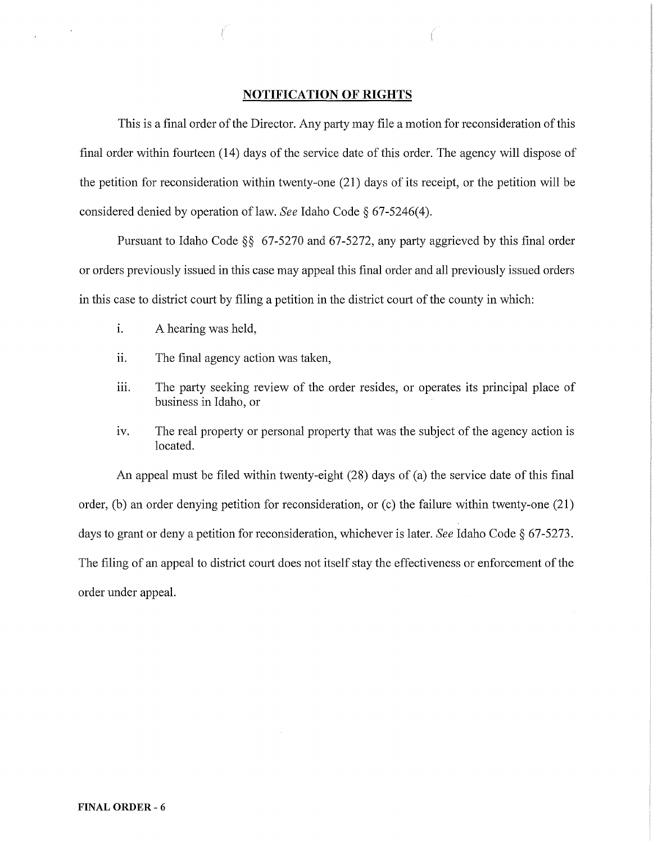## **NOTIFICATION OF RIGHTS**

This is a final order of the Director. Any party may file a motion for reconsideration of this final order within fourteen (14) days of the service date of this order. The agency will dispose of the petition for reconsideration within twenty-one (21) days of its receipt, or the petition will be considered denied by operation oflaw. *See* Idaho Code§ 67-5246(4).

Pursuant to Idaho Code §§ 67-5270 and 67-5272, any party aggrieved by this final order or orders previously issued in this case may appeal this final order and all previously issued orders in this case to district court by filing a petition in the district court of the county in which:

- i. A hearing was held,
- ii. The final agency action was taken,
- iii. The party seeking review of the order resides, or operates its principal place of business in Idaho, or
- iv. The real property or personal property that was the subject of the agency action is located.

An appeal must be filed within twenty-eight (28) days of (a) the service date of this final order, (b) an order denying petition for reconsideration, or (c) the failure within twenty-one  $(21)$ days to grant or deny a petition for reconsideration, whichever is later. *See* Idaho Code§ 67-5273. The filing of an appeal to district court does not itself stay the effectiveness or enforcement of the order under appeal.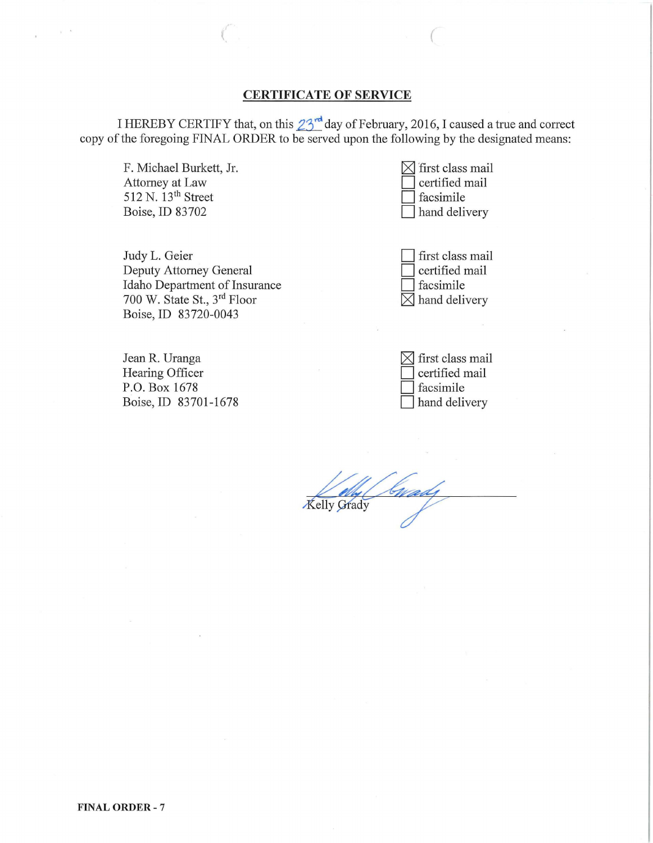## **CERTIFICATE OF SERVICE**

I HEREBY CERTIFY that, on this  $23<sup>rd</sup>$  day of February, 2016, I caused a true and correct copy of the foregoing FINAL ORDER to be served upon the following by the designated means:

F. Michael Burkett, Jr. Attorney at Law 512 N. 13<sup>th</sup> Street Boise, ID 83702

| $\boxtimes$ first class mail |
|------------------------------|
| certified mail               |
| facsimile                    |
| hand delivery                |

(

Judy L. Geier Deputy Attorney General Idaho Department of Insurance 700 W. State St., 3rd Floor Boise, ID 83720-0043

first class mail certified mail facsimile  $\times$  hand delivery

Jean R. Uranga Hearing Officer P.O. Box 1678 Boise, ID 83701-1678

| $\boxtimes$ first class mail |
|------------------------------|
| certified mail               |
| facsimile                    |
| hand delivery                |

Kelly Grady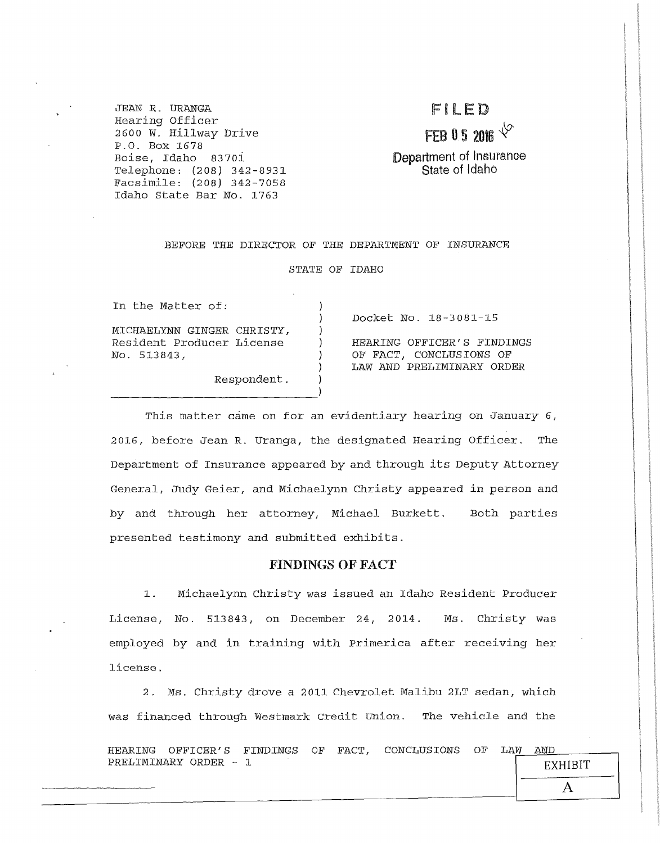JEAN R. URANGA Hearing Officer *2600* W. Hillway Drive P.O. Box 1678 *Boise* <sup>1</sup>Idaho 8370i Telephone: (208) 342-8931 Facsimile: (208) 342-7058 Idaho State Bar No. 1763

## FILED

FEB 0 5 2016  $\sqrt{\ }$ 

Department of Insurance State of Idaho

#### BEFORE THE DIRECTOR OF THE DEPARTMENT OF INSURANCE

STATE OF IDAHO

) ) ) ) ) )

In the Matter of:

MICHAELYNN GINGER CHRISTY, Resident Producer License No. 513843,

~~~~~~~~~~~~~~~~~~~~~~~~~~~~~)

Respondent.

Docket No. 18-3081-15

HEARING OFFICER'S FINDINGS OF FACT, CONCLUSIONS OF LAW AND PRELIMINARY ORDER

This matter came on for an evidentiary hearing on January 6, *2016* <sup>1</sup>before Jean R. Uranga, the designated Hearing Officer. The Department of Insurance appeared by and through its Deputy Attorney General, Judy Geier, and Michaelynn Christy appeared in person and by and through her attorney, Michael Burkett, Both parties presented testimony and submitted exhibits.

## FINDINGS OF FACT

1. Michaelynn Christy was issued an Idaho Resident Producer License, No. 513843, on December 24, 2014. Ms. Christy was employed by and in training with Primerica after receiving her license.

2. Ms. Christy drove a 2011 Chevrolet Malibu 2LT sedan, which was financed through Westmark Credit union. The vehicle and the

HEARING OFFICER'S FINDINGS OF FACT, CONCLUSIONS OF LAW AND<br>PRELIMINARY\_ORDER - 1 **EXHIBIT**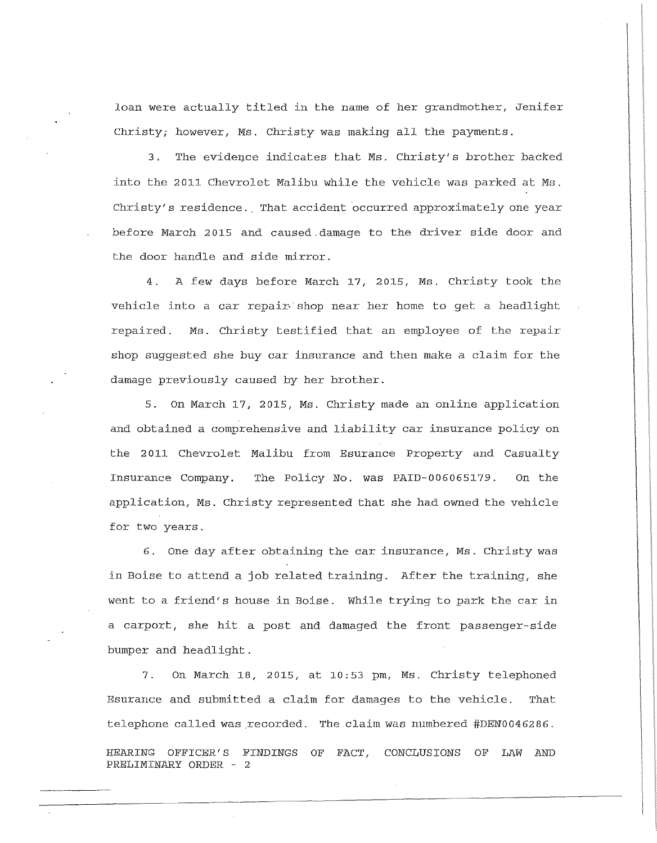loan were actually titled in the name of her grandmother, Jenifer Christy; however, Ms. Christy was making all the payments.

3. The evidence indicates that Ms. Christy's brother backed into the 2011 Chevrolet Malibu while the vehicle was parked at Ms. Christy's residence. That accident occurred approximately one year before March 2015 and caused.damage to the driver side door and the door handle and side mirror.

4. A few days before March 17, 2015, Ms. Christy took the vehicle into a car repair shop near her home to get a headlight repaired. Ms. Christy testified that an employee of the repair shop suggested she buy car insurance and then make a claim for the damage previously caused by her brother.

5. on March 17, 2015, Ms. Christy made an online application and obtained a comprehensive and liability car insurance policy on the 2011 Chevrolet Malibu from Esurance Property and Casualty Insurance Company. The Policy No. was PAID-006065179. On the application, Ms. Christy represented that she had owned the vehicle for two years.

6. One day after obtaining the car insurance, Ms. Christy was in Boise to attend a job related training. After the training, she went to a friend's house in Boise. While trying to park the car in a carport, she hit a post and damaged the front passenger-side bumper and headlight.

7. On March 18, 2015, at 10:53 *pm,* Ms. Christy telephoned Esurance and submitted a claim for damages to the vehicle. That telephone called was recorded. The claim was numbered #DEN0046286. HEARING OFFICER'S FINDINGS OF FACT, CONCLUSIONS OF LAW AND PRELIMINARY ORDER ~ 2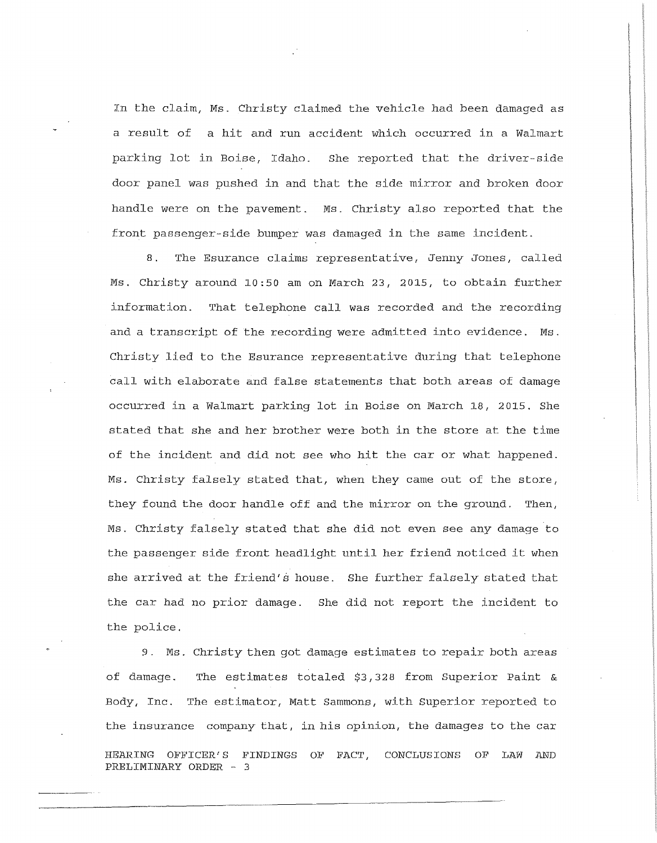In the claim, Ms. Christy claimed the vehicle had been damaged as a result of a hit and run accident which occurred in a Walmart parking lot in Boise, Idaho. She reported that the driver-side door panel was pushed in and that the side mirror and broken door handle were on the pavement. Ms. Christy also reported that the front passenger-side bumper was damaged in the same incident.

8. The Esurance claims representative, Jenny Jones, called Ms. Christy around 10:50 am on March 23, 2015, to obtain further information. That telephone call was recorded and the recording and a transcript of the recording were admitted into evidence. Ms. Christy lied to the Esurance representative during that telephone call with elaborate and false statements that both areas of damage occurred in a Walmart parking lot in Boise on March 18, 2015. She stated that she and her brother were both in the store at the time of the incident and did not see who hit the car or what happened. Ms. Christy falsely stated that, when they came out of the store, they found the door handle off and the mirror on the ground. Then, Ms. Christy falsely stated that she did not even see any damage to the passenger side front headlight until her friend noticed it when she arrived at the friend's house. She further falsely stated that the car had no prior damage. She did not report the incident to the police.

9 . Ms. Christy then got damage estimates to repair both areas of damage. The estimates totaled \$3,328 from Superior Paint & Body, Inc. The estimator, Matt Sammons, with Superior reported to the insurance company that, in his opinion, the damages to the car HEARING *OFFICER*<sup>1</sup> *S* FINDINGS OF FACT <sup>1</sup>CONCLUSIONS OF LAW AND PRELIMINARY ORDER - 3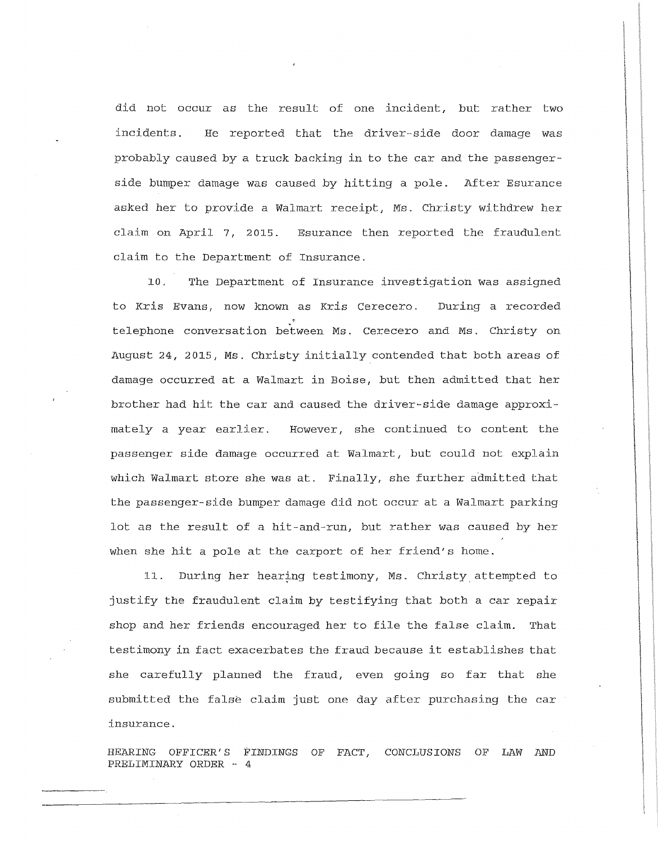did not occur as the result of one incident, but rather two incidents. He reported that the driver-side door damage was probably caused by a truck backing in to the car and the passengerside bumper damage was caused by hitting a pole. After Esurance asked her to provide a Walmart receipt, Ms. Christy withdrew her claim on April 7, 2015. Esurance then reported the fraudulent claim to the Department of Insurance.

10. The Department of Insurance investigation was assigned to Kris Evans, now known as Kris Cerecero. During a recorded telephone conversation between Ms. Cerecero and Ms. Christy on August 24, 2015, Ms. Christy initially contended that both areas of damage occurred at a Walmart in Boise, but then admitted that her brother had hit the car and caused the driver-side damage approximately a year earlier. However, she continued to content the passenger side damage occurred at Walmart, but could not explain which Walmart store she was at. Finally, she further admitted that the passenger-side bumper damage did not occur at a Walmart parking lot as the result of a hit-and-run, but rather was caused by her when she hit a pole at the carport of her friend's home.

11. During her hearing testimony, Ms. Christy attempted to justify the fraudulent claim by testifying that both a car repair shop and her friends encouraged her to file the false claim. That testimony in fact exacerbates the fraud because it establishes that she carefully planned the fraud, even going so far that she submitted the false claim just one day after purchasing the car insurance.

HEARING OFFICER'S FINDINGS OF FACT, CONCLUSIONS OF LAW AND PRELIMINARY ORDER - 4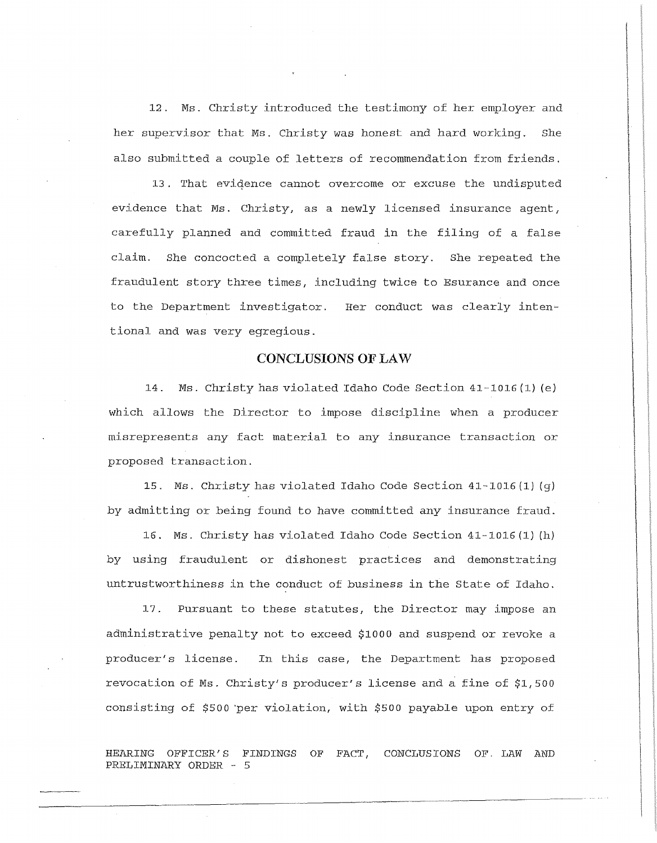12. Ms. Christy introduced the testimony of her employer and her supervisor that Ms. Christy was honest and hard working. She also submitted a couple of letters of recommendation from friends.

13. That eviqence cannot overcome or excuse the undisputed evidence that Ms. Christy, as a newly licensed insurance agent, carefully planned and committed fraud in the filing of a false claim. She concocted a completely false story. She repeated the fraudulent story three times, including twice to Esurance and once to the Department investigator. Her conduct was clearly intentional and was very egregious.

#### **CONCLUSIONS OF LAW**

14. Ms. Christy has violated Idaho Code Section 41-1016 (l) (e) which allows the Director to impose discipline when a producer misrepresents any fact material to any insurance transaction or proposed transaction.

15. Ms. Christy has violated Idaho Code Section  $41-1016(1)(q)$ by admitting or being found to have committed any insurance fraud.

16. Ms. Christy has violated Idaho Code Section 41-1016 (1) (h) by using fraudulent or dishonest practices and demonstrating untrustworthiness in the conduct of business in the State of Idaho.

17. Pursuant to these statutes, the Director may impose an administrative penalty not to exceed \$1000 and suspend or revoke a producer's license. In this case, the Department has proposed revocation of Ms. Christy's producer's license and a fine of \$1, 500 consisting of \$500 ·per violation, with \$500 payable upon entry of

HEARING OFFICER'S FINDINGS OF FACT, CONCLUSIONS OF. LAW AND PRELIMINARY ORDER - 5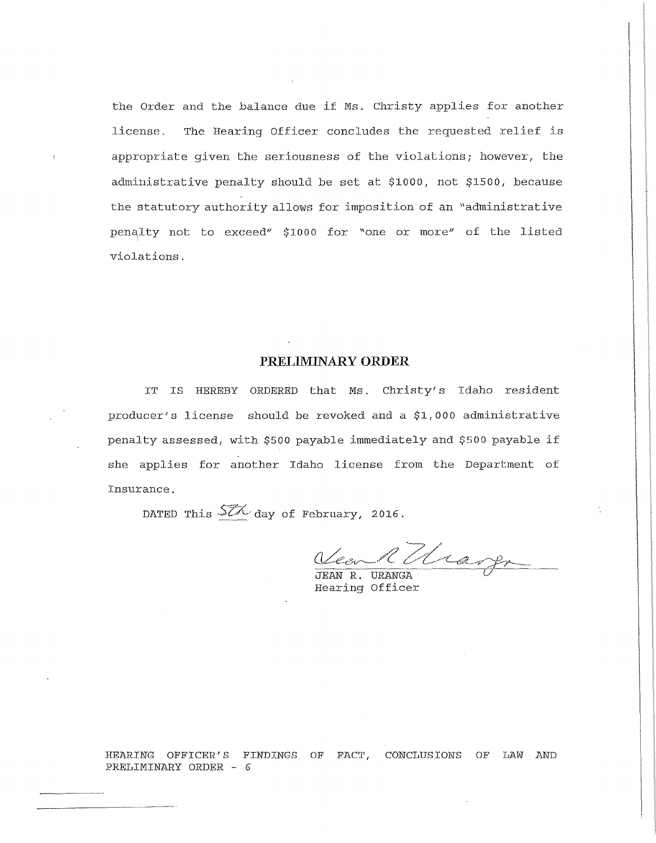the Order and the balance due if Ms. Christy applies for another license. The Hearing Officer concludes the requested relief is appropriate given the seriousness of the violations; however, the administrative penalty should be set at \$1000, not \$1500, because the statutory authority allows for imposition of an "administrative penalty not to exceed" \$1000 for "one or more" of the listed violations.

### **PRELIMINARY ORDER**

IT IS HEREBY ORDERED that Ms. Christy's Idaho resident producer's license should be revoked and a \$1,000 administrative penalty assessed, with \$500 payable immediately and \$500 payable if she applies for another Idaho license from the Department of Insurance.

DATED This  $\sqrt{\mathcal{Z}}$  day of February, 2016.

JEAN R. URANGA *U* 

Hearing Officer

HEARING OFFICER'S FINDINGS OF FACT, CONCLUSIONS OF LAW AND PRELIMINARY ORDER - *6*